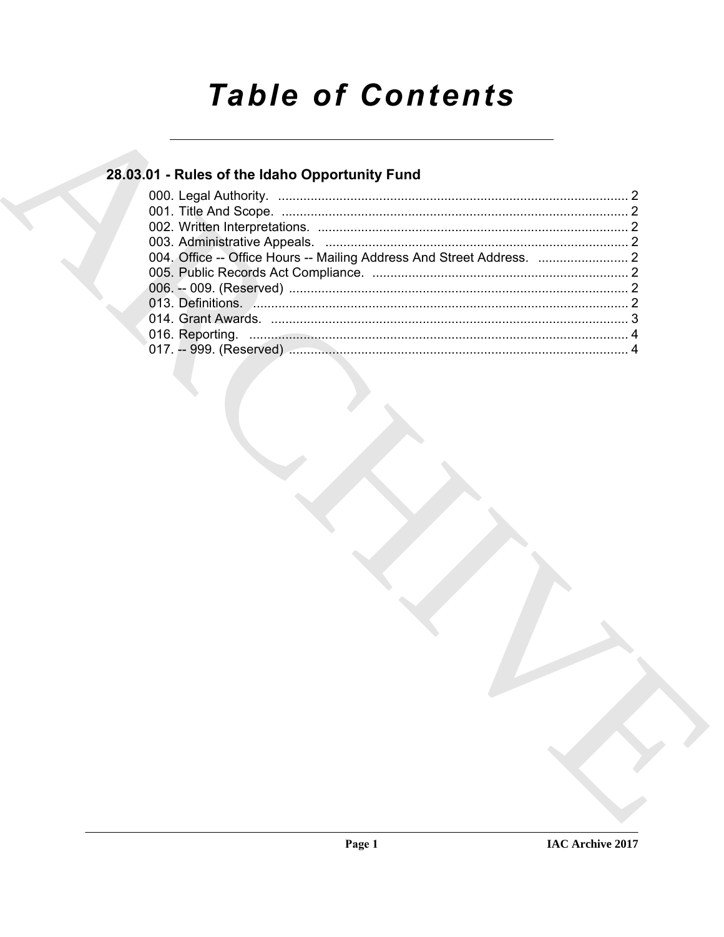# **Table of Contents**

## 28.03.01 - Rules of the Idaho Opportunity Fund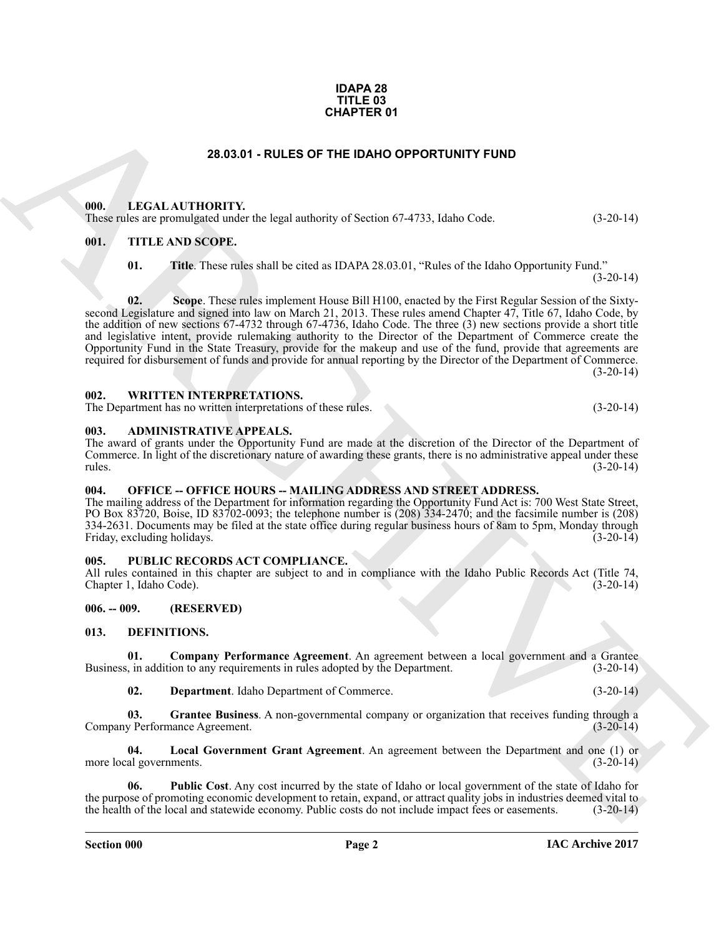#### **IDAPA 28 TITLE 03 CHAPTER 01**

#### **28.03.01 - RULES OF THE IDAHO OPPORTUNITY FUND**

#### <span id="page-1-1"></span><span id="page-1-0"></span>**000. LEGAL AUTHORITY.**

These rules are promulgated under the legal authority of Section 67-4733, Idaho Code. (3-20-14)

#### <span id="page-1-2"></span>**001. TITLE AND SCOPE.**

**01. Title**. These rules shall be cited as IDAPA 28.03.01, "Rules of the Idaho Opportunity Fund."

 $(3-20-14)$ 

**28.83.01 - RULES OF THE IDAN OPPORTUNITY FUND<br>
1990.** LEGAL ALTHONTY.<br>
1991. IECAL ALTHONTY.<br>
1991. IECAL ALTHONTY.<br>
1991. IECAL ALTHONTY.<br>
1991. IECAL ALTHONTY.<br>
1991. IECAL ALTHONTY.<br>
1991. IECAL ALTHONTY.<br>
1991. IECAL **02. Scope**. These rules implement House Bill H100, enacted by the First Regular Session of the Sixtysecond Legislature and signed into law on March 21, 2013. These rules amend Chapter 47, Title 67, Idaho Code, by the addition of new sections 67-4732 through 67-4736, Idaho Code. The three (3) new sections provide a short title and legislative intent, provide rulemaking authority to the Director of the Department of Commerce create the Opportunity Fund in the State Treasury, provide for the makeup and use of the fund, provide that agreements are required for disbursement of funds and provide for annual reporting by the Director of the Department of Commerce.  $(3-20-14)$ 

#### <span id="page-1-3"></span>**002. WRITTEN INTERPRETATIONS.**

The Department has no written interpretations of these rules. (3-20-14)

#### <span id="page-1-4"></span>**003. ADMINISTRATIVE APPEALS.**

The award of grants under the Opportunity Fund are made at the discretion of the Director of the Department of Commerce. In light of the discretionary nature of awarding these grants, there is no administrative appeal under these rules. (3-20-14) rules. (3-20-14)

#### <span id="page-1-5"></span>**004. OFFICE -- OFFICE HOURS -- MAILING ADDRESS AND STREET ADDRESS.**

The mailing address of the Department for information regarding the Opportunity Fund Act is: 700 West State Street, PO Box 83720, Boise, ID 83702-0093; the telephone number is (208) 334-2470; and the facsimile number is (208) 334-2631. Documents may be filed at the state office during regular business hours of 8am to 5pm, Monday through Friday, excluding holidays. (3-20-14) Friday, excluding holidays.

#### <span id="page-1-6"></span>**005. PUBLIC RECORDS ACT COMPLIANCE.**

All rules contained in this chapter are subject to and in compliance with the Idaho Public Records Act (Title 74, Chapter 1, Idaho Code). (3-20-14) Chapter 1, Idaho Code).

#### <span id="page-1-7"></span>**006. -- 009. (RESERVED)**

#### <span id="page-1-9"></span><span id="page-1-8"></span>**013. DEFINITIONS.**

**01. Company Performance Agreement**. An agreement between a local government and a Grantee Business, in addition to any requirements in rules adopted by the Department. (3-20-14)

<span id="page-1-13"></span><span id="page-1-12"></span><span id="page-1-11"></span><span id="page-1-10"></span>**02. Department**. Idaho Department of Commerce. (3-20-14)

**03.** Grantee Business. A non-governmental company or organization that receives funding through a y Performance Agreement. (3-20-14) Company Performance Agreement.

**04. Local Government Grant Agreement**. An agreement between the Department and one (1) or more local governments.

<span id="page-1-14"></span>**06. Public Cost**. Any cost incurred by the state of Idaho or local government of the state of Idaho for the purpose of promoting economic development to retain, expand, or attract quality jobs in industries deemed vital to the health of the local and statewide economy. Public costs do not include impact fees or easements. (3 the health of the local and statewide economy. Public costs do not include impact fees or easements.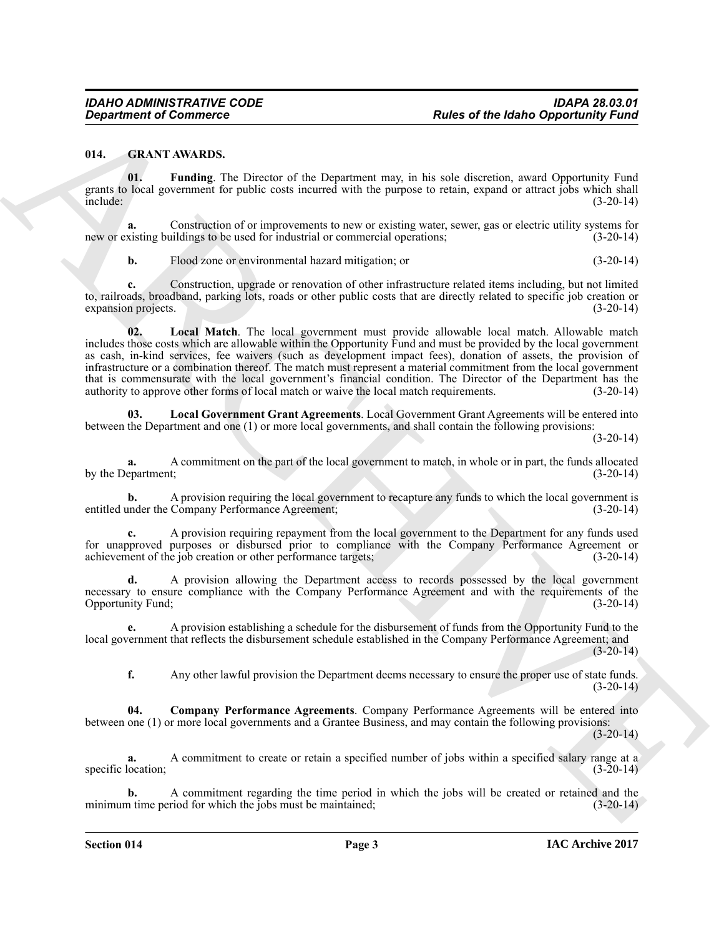#### <span id="page-2-3"></span><span id="page-2-1"></span><span id="page-2-0"></span>**014. GRANT AWARDS.**

**01. Funding**. The Director of the Department may, in his sole discretion, award Opportunity Fund grants to local government for public costs incurred with the purpose to retain, expand or attract jobs which shall<br>(3-20-14) include: (3-20-14)

**a.** Construction of or improvements to new or existing water, sewer, gas or electric utility systems for visiting buildings to be used for industrial or commercial operations; (3-20-14) new or existing buildings to be used for industrial or commercial operations;

<span id="page-2-5"></span>**b.** Flood zone or environmental hazard mitigation; or (3-20-14)

**c.** Construction, upgrade or renovation of other infrastructure related items including, but not limited to, railroads, broadband, parking lots, roads or other public costs that are directly related to specific job creation or expansion projects. (3-20-14)

**Equivariant of Examples Commerce Commercial Commercial Commercial Commercial Commercial Commercial Commercial Commercial Commercial Commercial Commercial Commercial Commercial Commercial Commercial Commercial Commercial 02. Local Match**. The local government must provide allowable local match. Allowable match includes those costs which are allowable within the Opportunity Fund and must be provided by the local government as cash, in-kind services, fee waivers (such as development impact fees), donation of assets, the provision of infrastructure or a combination thereof. The match must represent a material commitment from the local government that is commensurate with the local government's financial condition. The Director of the Department has the authority to approve other forms of local match or waive the local match requirements. (3-20-14) authority to approve other forms of local match or waive the local match requirements.

<span id="page-2-4"></span>**03. Local Government Grant Agreements**. Local Government Grant Agreements will be entered into between the Department and one (1) or more local governments, and shall contain the following provisions:

(3-20-14)

**a.** A commitment on the part of the local government to match, in whole or in part, the funds allocated epartment;<br>(3-20-14) by the Department;

**b.** A provision requiring the local government to recapture any funds to which the local government is under the Company Performance Agreement; entitled under the Company Performance Agreement;

**c.** A provision requiring repayment from the local government to the Department for any funds used for unapproved purposes or disbursed prior to compliance with the Company Performance Agreement or achievement of the job creation or other performance targets; (3-20-14) achievement of the job creation or other performance targets;

**d.** A provision allowing the Department access to records possessed by the local government necessary to ensure compliance with the Company Performance Agreement and with the requirements of the Opportunity Fund; (3-20-14) Opportunity Fund;

**e.** A provision establishing a schedule for the disbursement of funds from the Opportunity Fund to the local government that reflects the disbursement schedule established in the Company Performance Agreement; and  $(3-20-14)$ 

<span id="page-2-2"></span>**f.** Any other lawful provision the Department deems necessary to ensure the proper use of state funds.  $(3-20-14)$ 

**04. Company Performance Agreements**. Company Performance Agreements will be entered into between one (1) or more local governments and a Grantee Business, and may contain the following provisions:

 $(3-20-14)$ 

**a.** A commitment to create or retain a specified number of jobs within a specified salary range at a location: (3-20-14) specific location;

A commitment regarding the time period in which the jobs will be created or retained and the riod for which the jobs must be maintained; (3-20-14) minimum time period for which the jobs must be maintained;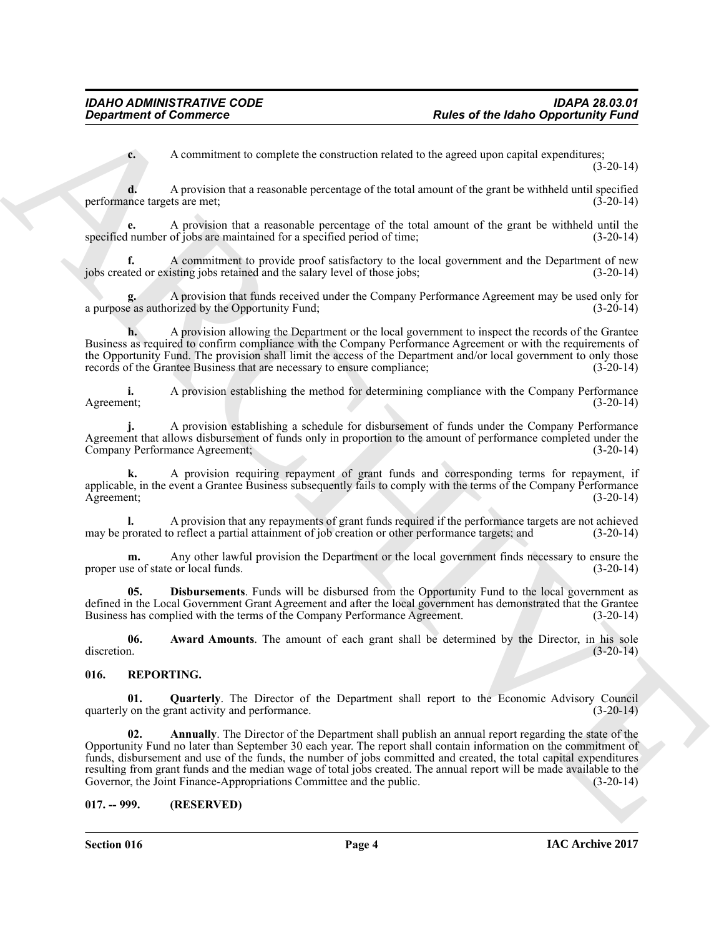**c.** A commitment to complete the construction related to the agreed upon capital expenditures; (3-20-14)

**d.** A provision that a reasonable percentage of the total amount of the grant be withheld until specified nnce targets are met; (3-20-14) performance targets are met;

**e.** A provision that a reasonable percentage of the total amount of the grant be withheld until the specified number of jobs are maintained for a specified period of time;

**f.** A commitment to provide proof satisfactory to the local government and the Department of new ted or existing jobs retained and the salary level of those jobs; (3-20-14) jobs created or existing jobs retained and the salary level of those jobs;

**g.** A provision that funds received under the Company Performance Agreement may be used only for a purpose as authorized by the Opportunity Fund; (3-20-14)

**h.** A provision allowing the Department or the local government to inspect the records of the Grantee Business as required to confirm compliance with the Company Performance Agreement or with the requirements of the Opportunity Fund. The provision shall limit the access of the Department and/or local government to only those records of the Grantee Business that are necessary to ensure compliance; (3-20-14) records of the Grantee Business that are necessary to ensure compliance;

**i.** A provision establishing the method for determining compliance with the Company Performance Agreement; (3-20-14) Agreement; (3-20-14)

**j.** A provision establishing a schedule for disbursement of funds under the Company Performance Agreement that allows disbursement of funds only in proportion to the amount of performance completed under the Company Performance Agreement; (3-20-14) Company Performance Agreement;

**k.** A provision requiring repayment of grant funds and corresponding terms for repayment, if applicable, in the event a Grantee Business subsequently fails to comply with the terms of the Company Performance Agreement; (3-20-14)

**l.** A provision that any repayments of grant funds required if the performance targets are not achieved may be prorated to reflect a partial attainment of job creation or other performance targets; and (3-20-14)

**m.** Any other lawful provision the Department or the local government finds necessary to ensure the se of state or local funds. (3-20-14) proper use of state or local funds.

<span id="page-3-3"></span>**05. Disbursements**. Funds will be disbursed from the Opportunity Fund to the local government as defined in the Local Government Grant Agreement and after the local government has demonstrated that the Grantee<br>Business has complied with the terms of the Company Performance Agreement. (3-20-14) Business has complied with the terms of the Company Performance Agreement.

<span id="page-3-2"></span>**06.** Award Amounts. The amount of each grant shall be determined by the Director, in his sole discretion. (3-20-14) discretion. (3-20-14)

#### <span id="page-3-4"></span><span id="page-3-0"></span>**016. REPORTING.**

<span id="page-3-6"></span><span id="page-3-5"></span>**Quarterly**. The Director of the Department shall report to the Economic Advisory Council rant activity and performance. (3-20-14) quarterly on the grant activity and performance.

**Experiment of Commuters.**<sup>22</sup><br> **Experiment of Commuters** in complete the construction related by the gave the busho Opposition is a complete the complete the solution of the solution related to the solution of the comple **02. Annually**. The Director of the Department shall publish an annual report regarding the state of the Opportunity Fund no later than September 30 each year. The report shall contain information on the commitment of funds, disbursement and use of the funds, the number of jobs committed and created, the total capital expenditures resulting from grant funds and the median wage of total jobs created. The annual report will be made available to the Governor, the Joint Finance-Appropriations Committee and the public. (3-20-14) Governor, the Joint Finance-Appropriations Committee and the public.

#### <span id="page-3-1"></span>**017. -- 999. (RESERVED)**